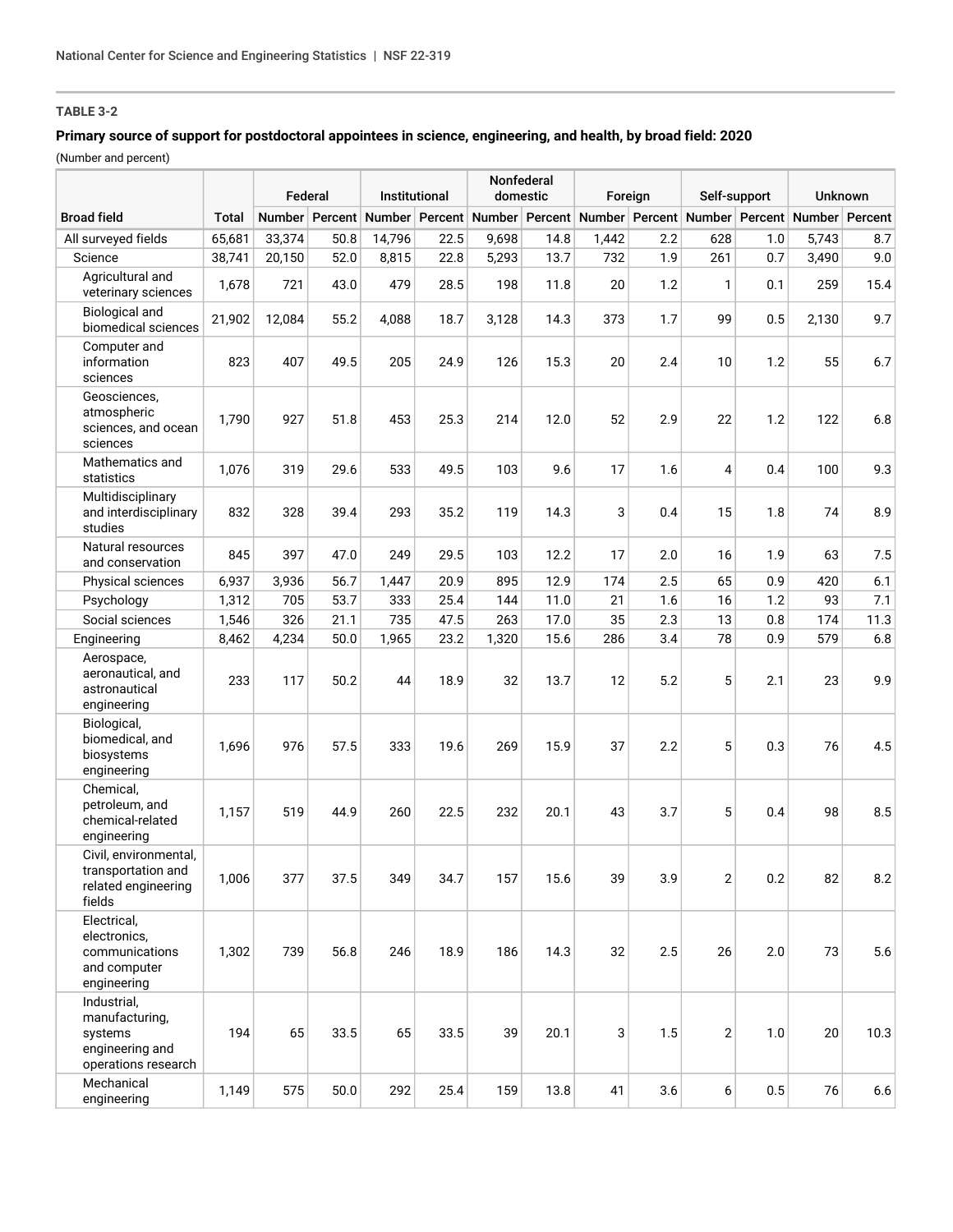# **TABLE 3-2**

## **Primary source of support for postdoctoral appointees in science, engineering, and health, by broad field: 2020**

(Number and percent)

|                                                                                    |              | Federal |      | Institutional                 |      | Nonfederal<br>domestic |      | Foreign |     | Self-support                                 |     | <b>Unknown</b> |                |
|------------------------------------------------------------------------------------|--------------|---------|------|-------------------------------|------|------------------------|------|---------|-----|----------------------------------------------|-----|----------------|----------------|
| <b>Broad field</b>                                                                 | <b>Total</b> |         |      | Number Percent Number Percent |      |                        |      |         |     | Number Percent Number Percent Number Percent |     |                | Number Percent |
| All surveyed fields                                                                | 65,681       | 33,374  | 50.8 | 14,796                        | 22.5 | 9,698                  | 14.8 | 1,442   | 2.2 | 628                                          | 1.0 | 5,743          | 8.7            |
| Science                                                                            | 38,741       | 20,150  | 52.0 | 8,815                         | 22.8 | 5,293                  | 13.7 | 732     | 1.9 | 261                                          | 0.7 | 3,490          | 9.0            |
| Agricultural and<br>veterinary sciences                                            | 1,678        | 721     | 43.0 | 479                           | 28.5 | 198                    | 11.8 | 20      | 1.2 | 1                                            | 0.1 | 259            | 15.4           |
| <b>Biological and</b><br>biomedical sciences                                       | 21,902       | 12,084  | 55.2 | 4,088                         | 18.7 | 3,128                  | 14.3 | 373     | 1.7 | 99                                           | 0.5 | 2,130          | 9.7            |
| Computer and<br>information<br>sciences                                            | 823          | 407     | 49.5 | 205                           | 24.9 | 126                    | 15.3 | 20      | 2.4 | 10                                           | 1.2 | 55             | 6.7            |
| Geosciences,<br>atmospheric<br>sciences, and ocean<br>sciences                     | 1,790        | 927     | 51.8 | 453                           | 25.3 | 214                    | 12.0 | 52      | 2.9 | 22                                           | 1.2 | 122            | 6.8            |
| Mathematics and<br>statistics                                                      | 1,076        | 319     | 29.6 | 533                           | 49.5 | 103                    | 9.6  | 17      | 1.6 | 4                                            | 0.4 | 100            | 9.3            |
| Multidisciplinary<br>and interdisciplinary<br>studies                              | 832          | 328     | 39.4 | 293                           | 35.2 | 119                    | 14.3 | 3       | 0.4 | 15                                           | 1.8 | 74             | 8.9            |
| Natural resources<br>and conservation                                              | 845          | 397     | 47.0 | 249                           | 29.5 | 103                    | 12.2 | 17      | 2.0 | 16                                           | 1.9 | 63             | 7.5            |
| Physical sciences                                                                  | 6,937        | 3,936   | 56.7 | 1,447                         | 20.9 | 895                    | 12.9 | 174     | 2.5 | 65                                           | 0.9 | 420            | 6.1            |
| Psychology                                                                         | 1,312        | 705     | 53.7 | 333                           | 25.4 | 144                    | 11.0 | 21      | 1.6 | 16                                           | 1.2 | 93             | 7.1            |
| Social sciences                                                                    | 1,546        | 326     | 21.1 | 735                           | 47.5 | 263                    | 17.0 | 35      | 2.3 | 13                                           | 0.8 | 174            | 11.3           |
| Engineering                                                                        | 8,462        | 4,234   | 50.0 | 1,965                         | 23.2 | 1,320                  | 15.6 | 286     | 3.4 | 78                                           | 0.9 | 579            | 6.8            |
| Aerospace,<br>aeronautical, and<br>astronautical<br>engineering                    | 233          | 117     | 50.2 | 44                            | 18.9 | 32                     | 13.7 | 12      | 5.2 | 5                                            | 2.1 | 23             | 9.9            |
| Biological,<br>biomedical, and<br>biosystems<br>engineering                        | 1,696        | 976     | 57.5 | 333                           | 19.6 | 269                    | 15.9 | 37      | 2.2 | 5                                            | 0.3 | 76             | 4.5            |
| Chemical,<br>petroleum, and<br>chemical-related<br>engineering                     | 1,157        | 519     | 44.9 | 260                           | 22.5 | 232                    | 20.1 | 43      | 3.7 | 5                                            | 0.4 | 98             | 8.5            |
| Civil, environmental,<br>transportation and<br>related engineering<br>fields       | 1,006        | 377     | 37.5 | 349                           | 34.7 | 157                    | 15.6 | 39      | 3.9 | $\overline{2}$                               | 0.2 | 82             | 8.2            |
| Electrical,<br>electronics,<br>communications<br>and computer<br>engineering       | 1,302        | 739     | 56.8 | 246                           | 18.9 | 186                    | 14.3 | 32      | 2.5 | 26                                           | 2.0 | 73             | 5.6            |
| Industrial,<br>manufacturing,<br>systems<br>engineering and<br>operations research | 194          | 65      | 33.5 | 65                            | 33.5 | 39                     | 20.1 | 3       | 1.5 | $\overline{2}$                               | 1.0 | 20             | 10.3           |
| Mechanical<br>engineering                                                          | 1,149        | 575     | 50.0 | 292                           | 25.4 | 159                    | 13.8 | 41      | 3.6 | 6                                            | 0.5 | 76             | 6.6            |